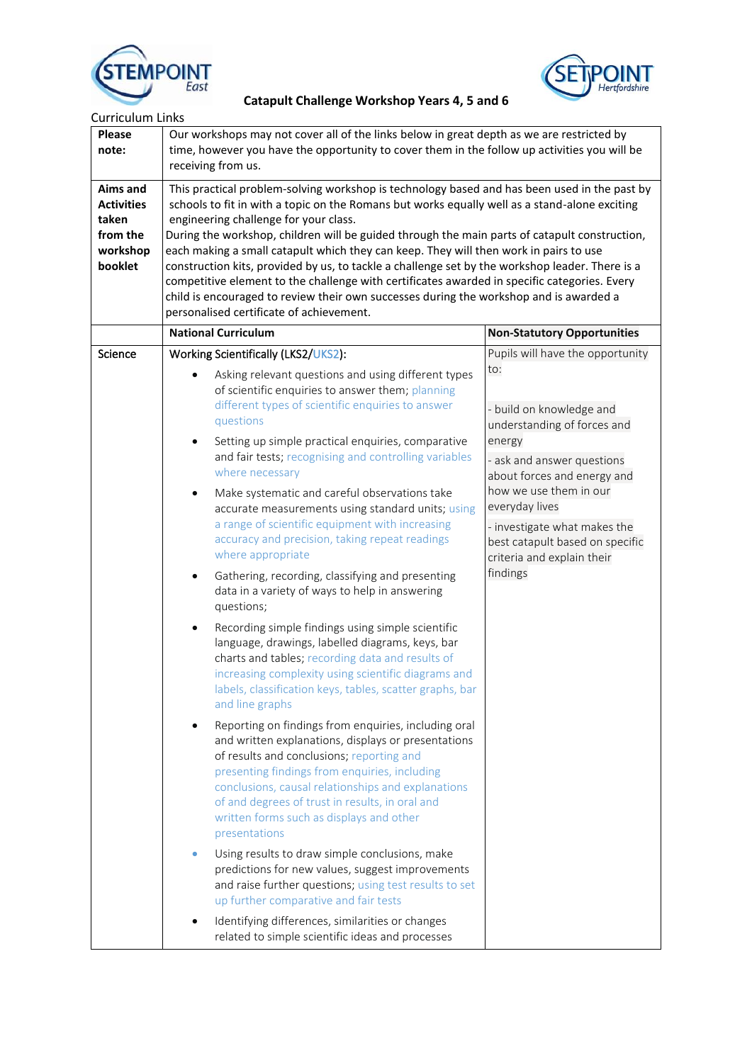



**RPOINT**<br>East Catapult Challenge Workshop Years 4, 5 and 6

| <b>Please</b><br>note:                                                    | Our workshops may not cover all of the links below in great depth as we are restricted by<br>time, however you have the opportunity to cover them in the follow up activities you will be<br>receiving from us.                                                                                                                                                                                                                                                                                                                                                                                                                                                                                                                                                                                                                                                                                                                                                                                                                                                                                                                                                                                                                                                                                                                                                                                                                                                                                                                                                                                                                                                                                               |                                                                                                                                                                                                                                                                                                                                                                                                                                                                                                                                                                                             |  |
|---------------------------------------------------------------------------|---------------------------------------------------------------------------------------------------------------------------------------------------------------------------------------------------------------------------------------------------------------------------------------------------------------------------------------------------------------------------------------------------------------------------------------------------------------------------------------------------------------------------------------------------------------------------------------------------------------------------------------------------------------------------------------------------------------------------------------------------------------------------------------------------------------------------------------------------------------------------------------------------------------------------------------------------------------------------------------------------------------------------------------------------------------------------------------------------------------------------------------------------------------------------------------------------------------------------------------------------------------------------------------------------------------------------------------------------------------------------------------------------------------------------------------------------------------------------------------------------------------------------------------------------------------------------------------------------------------------------------------------------------------------------------------------------------------|---------------------------------------------------------------------------------------------------------------------------------------------------------------------------------------------------------------------------------------------------------------------------------------------------------------------------------------------------------------------------------------------------------------------------------------------------------------------------------------------------------------------------------------------------------------------------------------------|--|
| Aims and<br><b>Activities</b><br>taken<br>from the<br>workshop<br>booklet | engineering challenge for your class.<br>each making a small catapult which they can keep. They will then work in pairs to use<br>personalised certificate of achievement.                                                                                                                                                                                                                                                                                                                                                                                                                                                                                                                                                                                                                                                                                                                                                                                                                                                                                                                                                                                                                                                                                                                                                                                                                                                                                                                                                                                                                                                                                                                                    | This practical problem-solving workshop is technology based and has been used in the past by<br>schools to fit in with a topic on the Romans but works equally well as a stand-alone exciting<br>During the workshop, children will be guided through the main parts of catapult construction,<br>construction kits, provided by us, to tackle a challenge set by the workshop leader. There is a<br>competitive element to the challenge with certificates awarded in specific categories. Every<br>child is encouraged to review their own successes during the workshop and is awarded a |  |
|                                                                           | <b>National Curriculum</b>                                                                                                                                                                                                                                                                                                                                                                                                                                                                                                                                                                                                                                                                                                                                                                                                                                                                                                                                                                                                                                                                                                                                                                                                                                                                                                                                                                                                                                                                                                                                                                                                                                                                                    | <b>Non-Statutory Opportunities</b>                                                                                                                                                                                                                                                                                                                                                                                                                                                                                                                                                          |  |
| Science                                                                   | Working Scientifically (LKS2/UKS2):<br>Asking relevant questions and using different types<br>of scientific enquiries to answer them; planning<br>different types of scientific enquiries to answer<br>questions<br>Setting up simple practical enquiries, comparative<br>$\bullet$<br>and fair tests; recognising and controlling variables<br>where necessary<br>Make systematic and careful observations take<br>$\bullet$<br>accurate measurements using standard units; using<br>a range of scientific equipment with increasing<br>accuracy and precision, taking repeat readings<br>where appropriate<br>Gathering, recording, classifying and presenting<br>$\bullet$<br>data in a variety of ways to help in answering<br>questions;<br>Recording simple findings using simple scientific<br>$\bullet$<br>language, drawings, labelled diagrams, keys, bar<br>charts and tables; recording data and results of<br>increasing complexity using scientific diagrams and<br>labels, classification keys, tables, scatter graphs, bar<br>and line graphs<br>Reporting on findings from enquiries, including oral<br>and written explanations, displays or presentations<br>of results and conclusions; reporting and<br>presenting findings from enquiries, including<br>conclusions, causal relationships and explanations<br>of and degrees of trust in results, in oral and<br>written forms such as displays and other<br>presentations<br>Using results to draw simple conclusions, make<br>predictions for new values, suggest improvements<br>and raise further questions; using test results to set<br>up further comparative and fair tests<br>Identifying differences, similarities or changes | Pupils will have the opportunity<br>to:<br>- build on knowledge and<br>understanding of forces and<br>energy<br>- ask and answer questions<br>about forces and energy and<br>how we use them in our<br>everyday lives<br>- investigate what makes the<br>best catapult based on specific<br>criteria and explain their<br>findings                                                                                                                                                                                                                                                          |  |